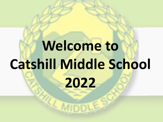# **Welcome to Catshill Middle School 2022**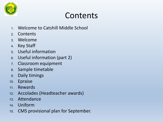

## Contents

- 1. Welcome to Catshill Middle School
- 2. Contents
- 3. Welcome
- 4. Key Staff
- 5. Useful information
- 6. Useful information (part 2)
- 7. Classroom equipment
- 8. Sample timetable
- 9. Daily timings
- 10. Epraise
- 11. Rewards
- 12. Accolades (Headteacher awards)
- 13. Attendance
- 14. Uniform
- 15. CMS provisional plan for September.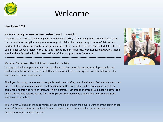

### Welcome

#### **New Intake 2022**

#### **Mr Paul Essenhigh - Executive Headteacher** (seated on the right)

Welcome to our school and learning family. What a year 2022/2023 is going to be. Our curriculum goes from strength to strength as we prepare to support children becoming young citizens in 21st century modern Britain. My key role is the strategic leadership of the Catshill Federation (Catshill Middle School & Catshill First School & Nursery) this includes Finance, Human Resources, Premises & Safeguarding. I hope you find the information in this presentation useful as you prepare for September.

---------------------------------------------------------------------------------------------------------------------------------

#### **Mr James Thompson - Head of School** (seated on the left)

I'm responsible for helping your children to achieve the best possible outcomes both personally and academically. I also lead a team of staff that are responsible for ensuring that excellent behaviours for learning are seen on a daily basis.

Thank you for taking time to read through this welcome briefing. It is vital that you feel warmly welcomed into the school as your child makes the transition from their current school. There may be parents or carers reading this who have children starting in different year groups and you are all most welcome. The information in this guide is geared for new Y5 parents but much of it is applicable to every year group. Welcome to our school.

The children will have more opportunities made available to them than ever before over the coming year. Some of these experiences may be different to previous years, but we will adapt and develop our provision as we go forward together.

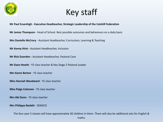

Key staff

#### **Mr Paul Essenhigh - Executive Headteacher, Strategic Leadership of the Catshill Federation**

**Mr James Thompson** - Head of School. Best possible outcomes and behaviours on a daily basis

**Mrs Danielle McCrory** - Assistant Headteacher, Curriculum, Learning & Teaching

**Mr Kenny Hirst -** Assistant Headteacher, Inclusion

**Mr Rick Duerden -** Assistant Headteacher, Pastoral Care

**Mr Dave Hewitt** - Y5 class teacher & Key Stage 2 Pastoral Leader

**Mrs Karen Barton** - Y5 class teacher

**Miss Hannah Woodward** - Y5 class teacher

**Miss Paige Coleman** - Y5 class teacher

**Mrs Abi Dunn** - Y5 class teacher

**Mrs Philippa Nesbitt** - SENDCO

The four year 5 classes will have approximately 30 children in them. There will also be additional sets for English & maths.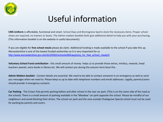

### Useful information

**CMS Uniform** is affordable, functional and smart. School Days and Bromsgrove Sports stock the necessary items. Proper school shoes are required, no trainers or boots. The Admin matters booklet both give additional detail to help you with your purchasing. (This information booklet is on the website in useful documents).

If you are eligible for **free school meals** please do claim. Additional funding is made available to the school if you take this up. Worcestershire is one of the lowest funded authorities so it is very important for us [http://www.worcestershire.gov.uk/info/20062/schools/684/applying\\_for\\_free\\_school\\_meals/2](http://www.worcestershire.gov.uk/info/20062/schools/684/applying_for_free_school_meals/2)

**Voluntary School Fund contribution** - this small amount of money helps us to provide those extras, minibus, rewards, head teachers awards, extra books in library etc. We will contact you during the autumn term bout this.

**Admin Matters booklet** - Contact details are essential. We need to be able to contact someone in an emergency as well as send you messages when we need to. Please keep us up to date with telephone numbers and email addresses. Legally, parents/carers should provide 3 emergency contacts.

**Car Parking** - The Crown Pub permits parking before and after school in the rear car park. (This is on the same side of the road as the school). There is a small amount of parking available in the 'Meadow' car park opposite the school. Please be mindful of our neighbours and avoid blocking their drives. The school car park and the area outside Chadsgrove Special school must not be used for parking by parents and carers.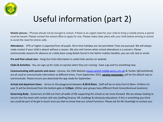

# Useful information (part 2)

**Mobile phones** - Phones should not be brought to school. If there is an urgent need for your child to bring a mobile phone a permit must be issued. Please contact the school office to apply for one. Please make clear plans with your child before arriving in school to avoid the need for phone calls.

**Attendance** - 97% or higher is expected from all pupils. Term-time holidays are not permitted. Fines are pursued. We will always make contact if your child is absent without a reason. We also visit homes when school attendance is a concern. Please communicate reasons for absence on a daily basis using details found in the Admin matters booklet, you can call, text or email.

**Pre and Post school care** - Hang Out Club information in useful links section on website.

**Clubs & Activities** - You can sign up for clubs on epraise when they are running **-** have a go and try something new.

**Communicating with parents and carers -** Epraise, the CMS Website ([www.catshill-middle.worcs.sch.uk](http://www.catshill-middle.worcs.sch.uk)) & Twitter (@Catshillmid) are all used to communicate information at different times. From September 2022, **epraise messenger** will be the default way to communicate. Please ensure you download the app ready for September.

**Arrival and departure times** - Arrive on the playground between **8:30-8:45am.** Staff will be on duty from 8.30am. Children (in year 5) will be dismissed from the bottom gate at **3:20pm**. (Other year groups have different finish times/dismissal locations)

**Governing Body** - Governors at CMS are from all walks of life supporting the school as we move forward. We are always looking to recruit into this team with certain skill sets (staffing,finance, HR, buildings & obviously education). If this is something you think you could be part of do get in touch once you feel ou know how our school functions. Please ask for Mr Essenhigh to contact you.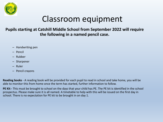

### Classroom equipment

#### **Pupils starting at Catshill Middle School from September 2022 will require the following in a named pencil case.**

- Handwriting pen
- Pencil
- Rubber
- Sharpener
- Ruler
- Pencil crayons

**Reading books** - A reading book will be provided for each pupil to read in school and take home, you will be able to monitor this from home once the term has started, further information to follow.

**PE Kit -** This must be brought to school on the days that your child has PE. The PE kit is identified in the school prospectus. Please make sure it is all named. A timetable to help with this will be issued on the first day in school. There is no expectation for PE kit to be brought in on day 1.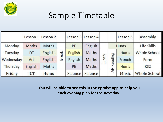

## Sample Timetable

|           |                | Lesson 1 Lesson 2 |       |           | Lesson 3 Lesson 4 |       |                 | Lesson 5    | Assembly            |
|-----------|----------------|-------------------|-------|-----------|-------------------|-------|-----------------|-------------|---------------------|
| Monday    | Maths          | Maths             | Break | <b>PE</b> | English           | Lunch | <b>Hums</b>     |             | Life Skills         |
| Tuesday   | DT             | English           |       | English   | Maths             |       | ading<br>œ<br>Æ | <b>Hums</b> | <b>Whole School</b> |
| Wednesday | Art            | English           |       | English   | Maths             |       |                 | French      | Form                |
| Thursday  | <b>English</b> | <b>Maths</b>      |       | <b>PE</b> | <b>Maths</b>      |       |                 | <b>Hums</b> | KS <sub>2</sub>     |
| Friday    | <b>ICT</b>     | Hums              |       | Science   | Science           |       |                 | Music       | Whole School        |

**You will be able to see this in the epraise app to help you each evening plan for the next day!**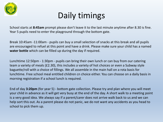

# Daily timings

School starts at **8:45am** prompt please don't leave it to the last minute anytime after 8.30 is fine. Year 5 pupils need to enter the playground through the bottom gate.

Break 10:45am -11:00am - pupils can buy a small selection of snacks at this break and all pupils are encouraged to refuel at this point and have a drink. Please make sure your child has a named **water bottle** which can be filled up during the day if required.

Lunchtime 12:50pm - 1:30pm - pupils can bring their own lunch or can buy from our catering team a variety of meals (£2.30), this includes a variety of hot choices or even a Subway style baguette/roll with a choice of fillings. We all assemble in the main hall on a rota basis for lunchtime. Free school meal entitled children cn choice either. You can choose on a daily basis in morning registration if a school lunch is required.

End of day **3:20pm** (for year 5) - bottom gate collection. Please try and plan where you will meet your child in advance as it will get very busy at the end of the day. A short walk to a meeting point is a very good idea. We always say if a parent/carer does not arrive walk back to us and we can help sort this out. As a parent please do not panic, we do not want any accidents as you head to school to pick them up.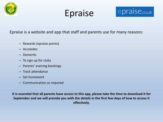

# Epraise



Epraise is a website and app that staff and parents use for many reasons:

- Rewards (epraise points)
- Accolades
- Demerits
- To sign up for clubs
- Parents' evening bookings
- Track attendance
- Set homework
- Communication as required

**It is essential that all parents have access to this app, please take the time to download it for September and we will provide you with the details in the first few days of how to access it effectively.**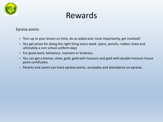

### Rewards

Epraise points

- Turn up to your lesson on time, do as asked and, most importantly, get involved!
- You get prizes for doing the right thing every week. (pens, pencils, rubber, toast and ultimately a non school uniform day)
- For good work, behaviour, manners or kindness.
- You can get a bronze, silver, gold, gold with honours and gold with double honours house point certificates.
- Parents and carers can track epraise points, accolades and attendance on epraise.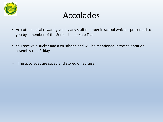

### Accolades

- An extra-special reward given by any staff member in school which is presented to you by a member of the Senior Leadership Team.
- You receive a sticker and a wristband and will be mentioned in the celebration assembly that Friday.
- The accolades are saved and stored on epraise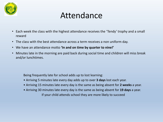

### Attendance

- Each week the class with the highest attendance receives the 'Tendy' trophy and a small reward
- The class with the best attendance across a term receives a non uniform day.
- We have an attendance motto **'In and on time by quarter to nine!'**
- Minutes late in the morning are paid back during social time and children will miss break and/or lunchtimes.

Being frequently late for school adds up to lost learning:

- Arriving 5 minutes late every day adds up to over **3 days** lost each year.
- Arriving 15 minutes late every day is the same as being absent for **2 weeks** a year.
- Arriving 30 minutes late every day is the same as being absent for **19 days** a year. If your child attends school they are more likely to succeed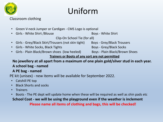

# Uniform

#### Classroom clothing

- Green V-neck Jumper or Cardigan CMS Logo is optional
- Girls White Shirt /Blouse Boys White Shirt

Clip-On School Tie (for all)

- Girls Grey/Black Skirt/Trousers (not skin tight) Boys Grey/Black Trousers
- Girls White Socks, Black Tights Boys Grey/Black Socks
- Girls Plain Black/Brown shoes (low heeled) Boys Plain Black/Brown Shoes

#### **Trainers or Boots of any sort are not permitted**

#### **No jewellery at all apart from a maximum of one plain gold/silver stud in each year. A school bag - named**

#### **A PE bag - named**

PE kit (unisex) - new items will be available for September 2022.

- Catshill PE top
- Black Shorts and socks
- Trainers
- Boots The PE dept will update home when these will be required as well as shin pads etc

**School Coat - we will be using the playground even if the weather is inclement Please name all items of clothing and bags, this will be checked!**